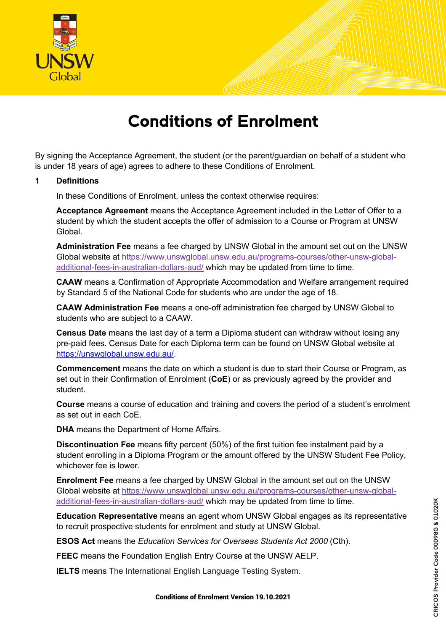

# Conditions of Enrolment

By signing the Acceptance Agreement, the student (or the parent/guardian on behalf of a student who is under 18 years of age) agrees to adhere to these Conditions of Enrolment.

#### **1 Definitions**

In these Conditions of Enrolment, unless the context otherwise requires:

**Acceptance Agreement** means the Acceptance Agreement included in the Letter of Offer to a student by which the student accepts the offer of admission to a Course or Program at UNSW Global.

**Administration Fee** means a fee charged by UNSW Global in the amount set out on the UNSW Global website at https://www.unswglobal.unsw.edu.au/programs-courses/other-unsw-globaladditional-fees-in-australian-dollars-aud/ which may be updated from time to time.

**CAAW** means a Confirmation of Appropriate Accommodation and Welfare arrangement required by Standard 5 of the National Code for students who are under the age of 18.

**CAAW Administration Fee** means a one-off administration fee charged by UNSW Global to students who are subject to a CAAW.

**Census Date** means the last day of a term a Diploma student can withdraw without losing any pre-paid fees. Census Date for each Diploma term can be found on UNSW Global website at https://unswglobal.unsw.edu.au/.

**Commencement** means the date on which a student is due to start their Course or Program, as set out in their Confirmation of Enrolment (**CoE**) or as previously agreed by the provider and student.

**Course** means a course of education and training and covers the period of a student's enrolment as set out in each CoE.

**DHA** means the Department of Home Affairs.

**Discontinuation Fee** means fifty percent (50%) of the first tuition fee instalment paid by a student enrolling in a Diploma Program or the amount offered by the UNSW Student Fee Policy, whichever fee is lower.

**Enrolment Fee** means a fee charged by UNSW Global in the amount set out on the UNSW Global website at https://www.unswglobal.unsw.edu.au/programs-courses/other-unsw-globaladditional-fees-in-australian-dollars-aud/ which may be updated from time to time.

**Education Representative** means an agent whom UNSW Global engages as its representative to recruit prospective students for enrolment and study at UNSW Global.

**ESOS Act** means the *Education Services for Overseas Students Act 2000* (Cth).

**FEEC** means the Foundation English Entry Course at the UNSW AELP.

**IELTS** means The International English Language Testing System.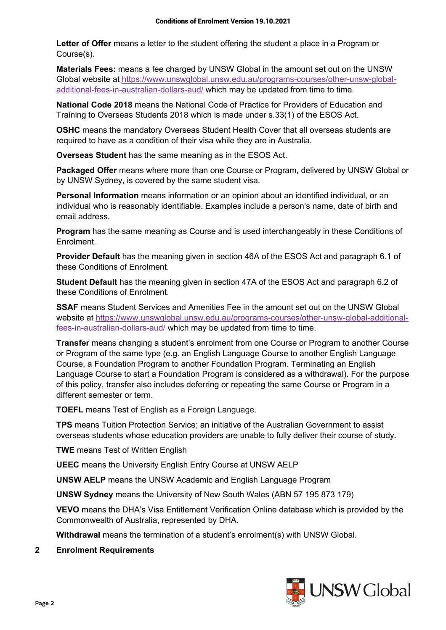**Letter of Offer** means a letter to the student offering the student a place in a Program or Course(s).

**Materials Fees:** means a fee charged by UNSW Global in the amount set out on the UNSW Global website at https://www.unswglobal.unsw.edu.au/programs-courses/other-unsw-globaladditional-fees-in-australian-dollars-aud/ which may be updated from time to time.

**National Code 2018** means the National Code of Practice for Providers of Education and Training to Overseas Students 2018 which is made under s.33(1) of the ESOS Act.

**OSHC** means the mandatory Overseas Student Health Cover that all overseas students are required to have as a condition of their visa while they are in Australia.

**Overseas Student** has the same meaning as in the ESOS Act.

**Packaged Offer** means where more than one Course or Program, delivered by UNSW Global or by UNSW Sydney, is covered by the same student visa.

**Personal Information** means information or an opinion about an identified individual, or an individual who is reasonably identifiable. Examples include a person's name, date of birth and email address.

**Program** has the same meaning as Course and is used interchangeably in these Conditions of Enrolment.

**Provider Default** has the meaning given in section 46A of the ESOS Act and paragraph 6.1 of these Conditions of Enrolment.

**Student Default** has the meaning given in section 47A of the ESOS Act and paragraph 6.2 of these Conditions of Enrolment.

**SSAF** means Student Services and Amenities Fee in the amount set out on the UNSW Global website at https://www.unswglobal.unsw.edu.au/programs-courses/other-unsw-global-additionalfees-in-australian-dollars-aud/ which may be updated from time to time.

**Transfer** means changing a student's enrolment from one Course or Program to another Course or Program of the same type (e.g. an English Language Course to another English Language Course, a Foundation Program to another Foundation Program. Terminating an English Language Course to start a Foundation Program is considered as a withdrawal). For the purpose of this policy, transfer also includes deferring or repeating the same Course or Program in a different semester or term.

**TOEFL** means Test of English as a Foreign Language.

**TPS** means Tuition Protection Service; an initiative of the Australian Government to assist overseas students whose education providers are unable to fully deliver their course of study.

**TWE** means Test of Written English

**UEEC** means the University English Entry Course at UNSW AELP

**UNSW AELP** means the UNSW Academic and English Language Program

**UNSW Sydney** means the University of New South Wales (ABN 57 195 873 179)

**VEVO** means the DHA's Visa Entitlement Verification Online database which is provided by the Commonwealth of Australia, represented by DHA.

**Withdrawal** means the termination of a student's enrolment(s) with UNSW Global.

#### **2 Enrolment Requirements**

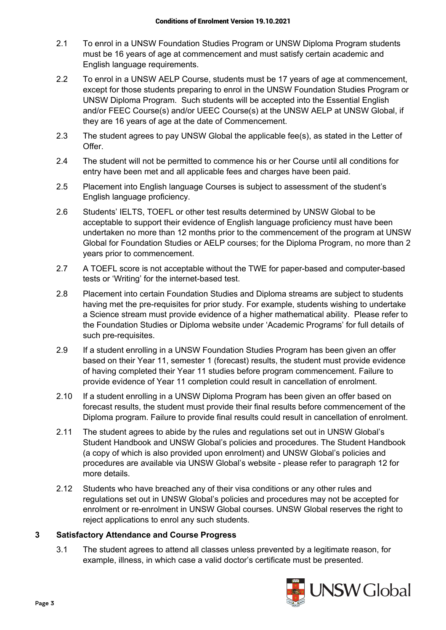- 2.1 To enrol in a UNSW Foundation Studies Program or UNSW Diploma Program students must be 16 years of age at commencement and must satisfy certain academic and English language requirements.
- 2.2 To enrol in a UNSW AELP Course, students must be 17 years of age at commencement, except for those students preparing to enrol in the UNSW Foundation Studies Program or UNSW Diploma Program. Such students will be accepted into the Essential English and/or FEEC Course(s) and/or UEEC Course(s) at the UNSW AELP at UNSW Global, if they are 16 years of age at the date of Commencement.
- 2.3 The student agrees to pay UNSW Global the applicable fee(s), as stated in the Letter of Offer.
- 2.4 The student will not be permitted to commence his or her Course until all conditions for entry have been met and all applicable fees and charges have been paid.
- 2.5 Placement into English language Courses is subject to assessment of the student's English language proficiency.
- 2.6 Students' IELTS, TOEFL or other test results determined by UNSW Global to be acceptable to support their evidence of English language proficiency must have been undertaken no more than 12 months prior to the commencement of the program at UNSW Global for Foundation Studies or AELP courses; for the Diploma Program, no more than 2 years prior to commencement.
- 2.7 A TOEFL score is not acceptable without the TWE for paper-based and computer-based tests or 'Writing' for the internet-based test.
- 2.8 Placement into certain Foundation Studies and Diploma streams are subject to students having met the pre-requisites for prior study. For example, students wishing to undertake a Science stream must provide evidence of a higher mathematical ability. Please refer to the Foundation Studies or Diploma website under 'Academic Programs' for full details of such pre-requisites.
- 2.9 If a student enrolling in a UNSW Foundation Studies Program has been given an offer based on their Year 11, semester 1 (forecast) results, the student must provide evidence of having completed their Year 11 studies before program commencement. Failure to provide evidence of Year 11 completion could result in cancellation of enrolment.
- 2.10 If a student enrolling in a UNSW Diploma Program has been given an offer based on forecast results, the student must provide their final results before commencement of the Diploma program. Failure to provide final results could result in cancellation of enrolment.
- 2.11 The student agrees to abide by the rules and regulations set out in UNSW Global's Student Handbook and UNSW Global's policies and procedures. The Student Handbook (a copy of which is also provided upon enrolment) and UNSW Global's policies and procedures are available via UNSW Global's website - please refer to paragraph 12 for more details.
- 2.12 Students who have breached any of their visa conditions or any other rules and regulations set out in UNSW Global's policies and procedures may not be accepted for enrolment or re-enrolment in UNSW Global courses. UNSW Global reserves the right to reject applications to enrol any such students.

#### **3 Satisfactory Attendance and Course Progress**

3.1 The student agrees to attend all classes unless prevented by a legitimate reason, for example, illness, in which case a valid doctor's certificate must be presented.

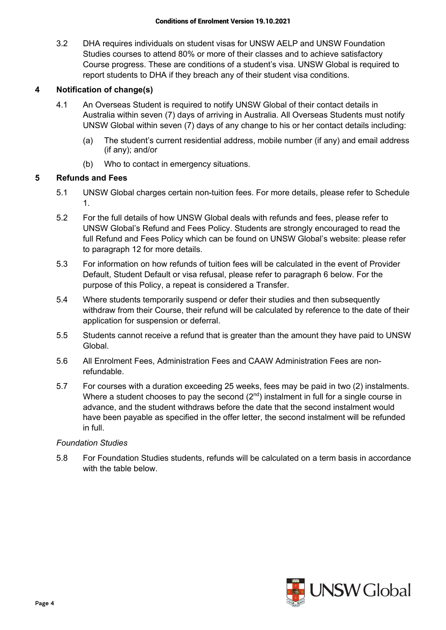3.2 DHA requires individuals on student visas for UNSW AELP and UNSW Foundation Studies courses to attend 80% or more of their classes and to achieve satisfactory Course progress. These are conditions of a student's visa. UNSW Global is required to report students to DHA if they breach any of their student visa conditions.

## **4 Notification of change(s)**

- 4.1 An Overseas Student is required to notify UNSW Global of their contact details in Australia within seven (7) days of arriving in Australia. All Overseas Students must notify UNSW Global within seven (7) days of any change to his or her contact details including:
	- (a) The student's current residential address, mobile number (if any) and email address (if any); and/or
	- (b) Who to contact in emergency situations.

### **5 Refunds and Fees**

- 5.1 UNSW Global charges certain non-tuition fees. For more details, please refer to Schedule 1.
- 5.2 For the full details of how UNSW Global deals with refunds and fees, please refer to UNSW Global's Refund and Fees Policy. Students are strongly encouraged to read the full Refund and Fees Policy which can be found on UNSW Global's website: please refer to paragraph 12 for more details.
- 5.3 For information on how refunds of tuition fees will be calculated in the event of Provider Default, Student Default or visa refusal, please refer to paragraph 6 below. For the purpose of this Policy, a repeat is considered a Transfer.
- 5.4 Where students temporarily suspend or defer their studies and then subsequently withdraw from their Course, their refund will be calculated by reference to the date of their application for suspension or deferral.
- 5.5 Students cannot receive a refund that is greater than the amount they have paid to UNSW Global.
- 5.6 All Enrolment Fees, Administration Fees and CAAW Administration Fees are nonrefundable.
- 5.7 For courses with a duration exceeding 25 weeks, fees may be paid in two (2) instalments. Where a student chooses to pay the second  $(2^{nd})$  instalment in full for a single course in advance, and the student withdraws before the date that the second instalment would have been payable as specified in the offer letter, the second instalment will be refunded in full.

#### *Foundation Studies*

5.8 For Foundation Studies students, refunds will be calculated on a term basis in accordance with the table below

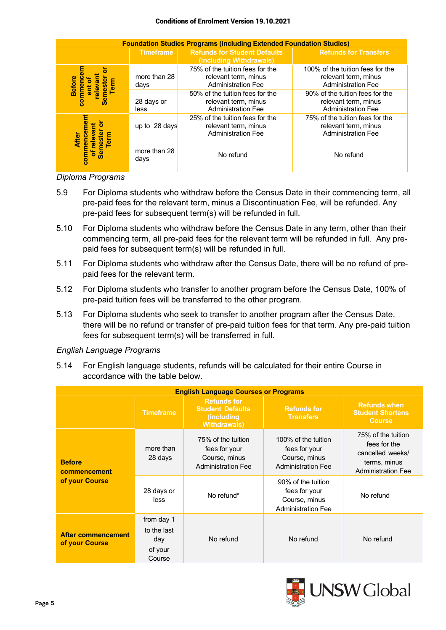#### Conditions of Enrolment Version 19.10.2021

| <b>Foundation Studies Programs (including Extended Foundation Studies)</b> |                      |                                                                                      |                                                                                       |  |  |  |
|----------------------------------------------------------------------------|----------------------|--------------------------------------------------------------------------------------|---------------------------------------------------------------------------------------|--|--|--|
|                                                                            | <b>Timeframe</b>     | <b>Refunds for Student Defaults</b><br>(including Withdrawals)                       | <b>Refunds for Transfers</b>                                                          |  |  |  |
| commenc<br><b>Before</b><br>erm                                            | more than 28<br>days | 75% of the tuition fees for the<br>relevant term, minus<br><b>Administration Fee</b> | 100% of the tuition fees for the<br>relevant term, minus<br><b>Administration Fee</b> |  |  |  |
|                                                                            | 28 days or<br>less   | 50% of the tuition fees for the<br>relevant term, minus<br><b>Administration Fee</b> | 90% of the tuition fees for the<br>relevant term, minus<br><b>Administration Fee</b>  |  |  |  |
| nent<br>erm<br>ē<br>commer<br><b>Semes</b>                                 | up to 28 days        | 25% of the tuition fees for the<br>relevant term, minus<br><b>Administration Fee</b> | 75% of the tuition fees for the<br>relevant term, minus<br><b>Administration Fee</b>  |  |  |  |
|                                                                            | more than 28<br>days | No refund                                                                            | No refund                                                                             |  |  |  |

#### *Diploma Programs*

- 5.9 For Diploma students who withdraw before the Census Date in their commencing term, all pre-paid fees for the relevant term, minus a Discontinuation Fee, will be refunded. Any pre-paid fees for subsequent term(s) will be refunded in full.
- 5.10 For Diploma students who withdraw before the Census Date in any term, other than their commencing term, all pre-paid fees for the relevant term will be refunded in full. Any prepaid fees for subsequent term(s) will be refunded in full.
- 5.11 For Diploma students who withdraw after the Census Date, there will be no refund of prepaid fees for the relevant term.
- 5.12 For Diploma students who transfer to another program before the Census Date, 100% of pre-paid tuition fees will be transferred to the other program.
- 5.13 For Diploma students who seek to transfer to another program after the Census Date, there will be no refund or transfer of pre-paid tuition fees for that term. Any pre-paid tuition fees for subsequent term(s) will be transferred in full.

#### *English Language Programs*

5.14 For English language students, refunds will be calculated for their entire Course in accordance with the table below.

| <b>English Language Courses or Programs</b>     |                                                       |                                                                                             |                                                                                    |                                                                                                     |  |
|-------------------------------------------------|-------------------------------------------------------|---------------------------------------------------------------------------------------------|------------------------------------------------------------------------------------|-----------------------------------------------------------------------------------------------------|--|
|                                                 | <b>Timeframe</b>                                      | <b>Refunds for</b><br><b>Student Defaults</b><br><i>(including)</i><br><b>Withdrawals</b> ) | <b>Refunds for</b><br><b>Transfers</b>                                             | <b>Refunds when</b><br><b>Student Shortens</b><br><b>Course</b>                                     |  |
| <b>Before</b><br>commencement<br>of your Course | more than<br>28 days                                  | 75% of the tuition<br>fees for your<br>Course, minus<br><b>Administration Fee</b>           | 100% of the tuition<br>fees for your<br>Course, minus<br><b>Administration Fee</b> | 75% of the tuition<br>fees for the<br>cancelled weeks/<br>terms, minus<br><b>Administration Fee</b> |  |
|                                                 | 28 days or<br>less                                    | No refund*                                                                                  | 90% of the tuition<br>fees for your<br>Course, minus<br><b>Administration Fee</b>  | No refund                                                                                           |  |
| <b>After commencement</b><br>of your Course     | from day 1<br>to the last<br>day<br>of your<br>Course | No refund                                                                                   | No refund                                                                          | No refund                                                                                           |  |

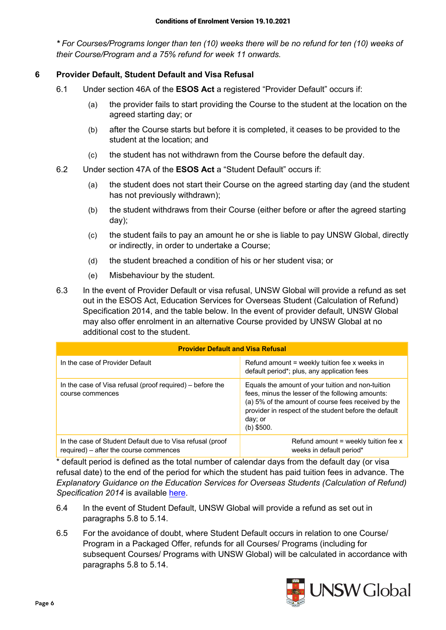*\* For Courses/Programs longer than ten (10) weeks there will be no refund for ten (10) weeks of their Course/Program and a 75% refund for week 11 onwards.* 

## **6 Provider Default, Student Default and Visa Refusal**

- 6.1 Under section 46A of the **ESOS Act** a registered "Provider Default" occurs if:
	- (a) the provider fails to start providing the Course to the student at the location on the agreed starting day; or
	- (b) after the Course starts but before it is completed, it ceases to be provided to the student at the location; and
	- (c) the student has not withdrawn from the Course before the default day.
- 6.2 Under section 47A of the **ESOS Act** a "Student Default" occurs if:
	- (a) the student does not start their Course on the agreed starting day (and the student has not previously withdrawn);
	- (b) the student withdraws from their Course (either before or after the agreed starting day);
	- (c) the student fails to pay an amount he or she is liable to pay UNSW Global, directly or indirectly, in order to undertake a Course;
	- (d) the student breached a condition of his or her student visa; or
	- (e) Misbehaviour by the student.
- 6.3 In the event of Provider Default or visa refusal, UNSW Global will provide a refund as set out in the ESOS Act, Education Services for Overseas Student (Calculation of Refund) Specification 2014, and the table below. In the event of provider default, UNSW Global may also offer enrolment in an alternative Course provided by UNSW Global at no additional cost to the student.

| <b>Provider Default and Visa Refusal</b>                                                            |                                                                                                                                                                                                                                                  |  |  |  |
|-----------------------------------------------------------------------------------------------------|--------------------------------------------------------------------------------------------------------------------------------------------------------------------------------------------------------------------------------------------------|--|--|--|
| In the case of Provider Default                                                                     | Refund amount = weekly tuition fee x weeks in<br>default period*; plus, any application fees                                                                                                                                                     |  |  |  |
| In the case of Visa refusal (proof required) – before the<br>course commences                       | Equals the amount of your tuition and non-tuition<br>fees, minus the lesser of the following amounts:<br>(a) 5% of the amount of course fees received by the<br>provider in respect of the student before the default<br>day; or<br>$(b)$ \$500. |  |  |  |
| In the case of Student Default due to Visa refusal (proof<br>required) - after the course commences | Refund amount $=$ weekly tuition fee x<br>weeks in default period*                                                                                                                                                                               |  |  |  |

\* default period is defined as the total number of calendar days from the default day (or visa refusal date) to the end of the period for which the student has paid tuition fees in advance. The *Explanatory Guidance on the Education Services for Overseas Students (Calculation of Refund) Specification 2014* is available here.

- 6.4 In the event of Student Default, UNSW Global will provide a refund as set out in paragraphs 5.8 to 5.14.
- 6.5 For the avoidance of doubt, where Student Default occurs in relation to one Course/ Program in a Packaged Offer, refunds for all Courses/ Programs (including for subsequent Courses/ Programs with UNSW Global) will be calculated in accordance with paragraphs 5.8 to 5.14.

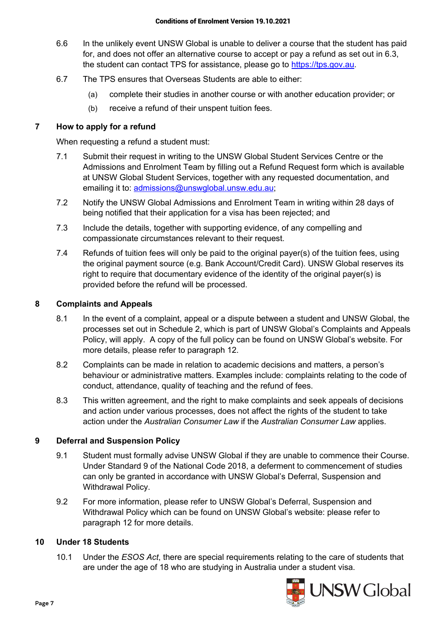- 6.6 In the unlikely event UNSW Global is unable to deliver a course that the student has paid for, and does not offer an alternative course to accept or pay a refund as set out in 6.3, the student can contact TPS for assistance, please go to https://tps.gov.au.
- 6.7 The TPS ensures that Overseas Students are able to either:
	- (a) complete their studies in another course or with another education provider; or
	- (b) receive a refund of their unspent tuition fees.

### **7 How to apply for a refund**

When requesting a refund a student must:

- 7.1 Submit their request in writing to the UNSW Global Student Services Centre or the Admissions and Enrolment Team by filling out a Refund Request form which is available at UNSW Global Student Services, together with any requested documentation, and emailing it to: admissions@unswglobal.unsw.edu.au;
- 7.2 Notify the UNSW Global Admissions and Enrolment Team in writing within 28 days of being notified that their application for a visa has been rejected; and
- 7.3 Include the details, together with supporting evidence, of any compelling and compassionate circumstances relevant to their request.
- 7.4 Refunds of tuition fees will only be paid to the original payer(s) of the tuition fees, using the original payment source (e.g. Bank Account/Credit Card). UNSW Global reserves its right to require that documentary evidence of the identity of the original payer(s) is provided before the refund will be processed.

### **8 Complaints and Appeals**

- 8.1 In the event of a complaint, appeal or a dispute between a student and UNSW Global, the processes set out in Schedule 2, which is part of UNSW Global's Complaints and Appeals Policy, will apply. A copy of the full policy can be found on UNSW Global's website. For more details, please refer to paragraph 12.
- 8.2 Complaints can be made in relation to academic decisions and matters, a person's behaviour or administrative matters. Examples include: complaints relating to the code of conduct, attendance, quality of teaching and the refund of fees.
- 8.3 This written agreement, and the right to make complaints and seek appeals of decisions and action under various processes, does not affect the rights of the student to take action under the *Australian Consumer Law* if the *Australian Consumer Law* applies.

#### **9 Deferral and Suspension Policy**

- 9.1 Student must formally advise UNSW Global if they are unable to commence their Course. Under Standard 9 of the National Code 2018, a deferment to commencement of studies can only be granted in accordance with UNSW Global's Deferral, Suspension and Withdrawal Policy.
- 9.2 For more information, please refer to UNSW Global's Deferral, Suspension and Withdrawal Policy which can be found on UNSW Global's website: please refer to paragraph 12 for more details.

### **10 Under 18 Students**

10.1 Under the *ESOS Act*, there are special requirements relating to the care of students that are under the age of 18 who are studying in Australia under a student visa.

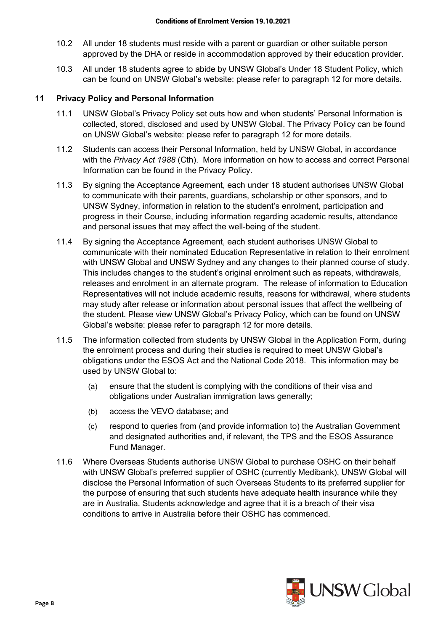- 10.2 All under 18 students must reside with a parent or guardian or other suitable person approved by the DHA or reside in accommodation approved by their education provider.
- 10.3 All under 18 students agree to abide by UNSW Global's Under 18 Student Policy, which can be found on UNSW Global's website: please refer to paragraph 12 for more details.

#### **11 Privacy Policy and Personal Information**

- 11.1 UNSW Global's Privacy Policy set outs how and when students' Personal Information is collected, stored, disclosed and used by UNSW Global. The Privacy Policy can be found on UNSW Global's website: please refer to paragraph 12 for more details.
- 11.2 Students can access their Personal Information, held by UNSW Global, in accordance with the *Privacy Act 1988* (Cth). More information on how to access and correct Personal Information can be found in the Privacy Policy.
- 11.3 By signing the Acceptance Agreement, each under 18 student authorises UNSW Global to communicate with their parents, guardians, scholarship or other sponsors, and to UNSW Sydney, information in relation to the student's enrolment, participation and progress in their Course, including information regarding academic results, attendance and personal issues that may affect the well-being of the student.
- 11.4 By signing the Acceptance Agreement, each student authorises UNSW Global to communicate with their nominated Education Representative in relation to their enrolment with UNSW Global and UNSW Sydney and any changes to their planned course of study. This includes changes to the student's original enrolment such as repeats, withdrawals, releases and enrolment in an alternate program. The release of information to Education Representatives will not include academic results, reasons for withdrawal, where students may study after release or information about personal issues that affect the wellbeing of the student. Please view UNSW Global's Privacy Policy, which can be found on UNSW Global's website: please refer to paragraph 12 for more details.
- 11.5 The information collected from students by UNSW Global in the Application Form, during the enrolment process and during their studies is required to meet UNSW Global's obligations under the ESOS Act and the National Code 2018. This information may be used by UNSW Global to:
	- (a) ensure that the student is complying with the conditions of their visa and obligations under Australian immigration laws generally;
	- (b) access the VEVO database; and
	- (c) respond to queries from (and provide information to) the Australian Government and designated authorities and, if relevant, the TPS and the ESOS Assurance Fund Manager.
- 11.6 Where Overseas Students authorise UNSW Global to purchase OSHC on their behalf with UNSW Global's preferred supplier of OSHC (currently Medibank), UNSW Global will disclose the Personal Information of such Overseas Students to its preferred supplier for the purpose of ensuring that such students have adequate health insurance while they are in Australia. Students acknowledge and agree that it is a breach of their visa conditions to arrive in Australia before their OSHC has commenced.

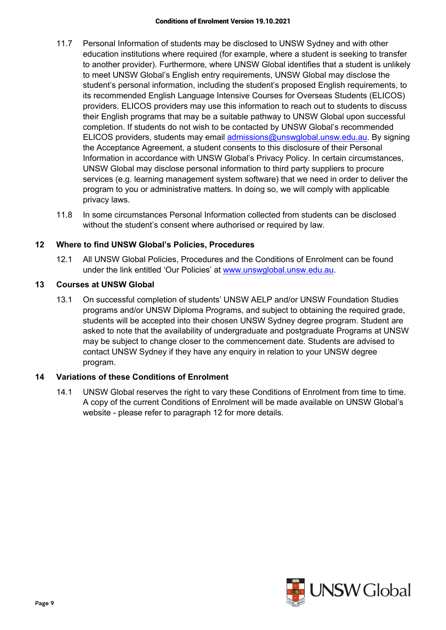- 11.7 Personal Information of students may be disclosed to UNSW Sydney and with other education institutions where required (for example, where a student is seeking to transfer to another provider). Furthermore, where UNSW Global identifies that a student is unlikely to meet UNSW Global's English entry requirements, UNSW Global may disclose the student's personal information, including the student's proposed English requirements, to its recommended English Language Intensive Courses for Overseas Students (ELICOS) providers. ELICOS providers may use this information to reach out to students to discuss their English programs that may be a suitable pathway to UNSW Global upon successful completion. If students do not wish to be contacted by UNSW Global's recommended ELICOS providers, students may email admissions@unswglobal.unsw.edu.au. By signing the Acceptance Agreement, a student consents to this disclosure of their Personal Information in accordance with UNSW Global's Privacy Policy. In certain circumstances, UNSW Global may disclose personal information to third party suppliers to procure services (e.g. learning management system software) that we need in order to deliver the program to you or administrative matters. In doing so, we will comply with applicable privacy laws.
- 11.8 In some circumstances Personal Information collected from students can be disclosed without the student's consent where authorised or required by law.

## **12 Where to find UNSW Global's Policies, Procedures**

12.1 All UNSW Global Policies, Procedures and the Conditions of Enrolment can be found under the link entitled 'Our Policies' at www.unswglobal.unsw.edu.au.

## **13 Courses at UNSW Global**

13.1 On successful completion of students' UNSW AELP and/or UNSW Foundation Studies programs and/or UNSW Diploma Programs, and subject to obtaining the required grade, students will be accepted into their chosen UNSW Sydney degree program. Student are asked to note that the availability of undergraduate and postgraduate Programs at UNSW may be subject to change closer to the commencement date. Students are advised to contact UNSW Sydney if they have any enquiry in relation to your UNSW degree program.

## **14 Variations of these Conditions of Enrolment**

14.1 UNSW Global reserves the right to vary these Conditions of Enrolment from time to time. A copy of the current Conditions of Enrolment will be made available on UNSW Global's website - please refer to paragraph 12 for more details.

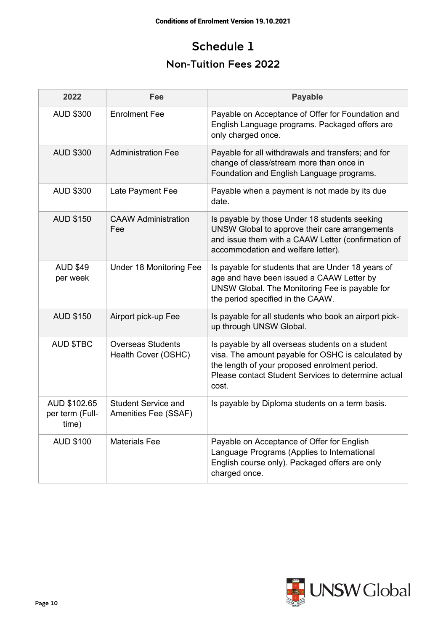## Schedule 1

## Non-Tuition Fees 2022

| 2022                                     | Fee                                                | <b>Payable</b>                                                                                                                                                                                                          |
|------------------------------------------|----------------------------------------------------|-------------------------------------------------------------------------------------------------------------------------------------------------------------------------------------------------------------------------|
| <b>AUD \$300</b>                         | <b>Enrolment Fee</b>                               | Payable on Acceptance of Offer for Foundation and<br>English Language programs. Packaged offers are<br>only charged once.                                                                                               |
| <b>AUD \$300</b>                         | <b>Administration Fee</b>                          | Payable for all withdrawals and transfers; and for<br>change of class/stream more than once in<br>Foundation and English Language programs.                                                                             |
| <b>AUD \$300</b>                         | Late Payment Fee                                   | Payable when a payment is not made by its due<br>date.                                                                                                                                                                  |
| <b>AUD \$150</b>                         | <b>CAAW Administration</b><br>Fee                  | Is payable by those Under 18 students seeking<br>UNSW Global to approve their care arrangements<br>and issue them with a CAAW Letter (confirmation of<br>accommodation and welfare letter).                             |
| <b>AUD \$49</b><br>per week              | Under 18 Monitoring Fee                            | Is payable for students that are Under 18 years of<br>age and have been issued a CAAW Letter by<br>UNSW Global. The Monitoring Fee is payable for<br>the period specified in the CAAW.                                  |
| <b>AUD \$150</b>                         | Airport pick-up Fee                                | Is payable for all students who book an airport pick-<br>up through UNSW Global.                                                                                                                                        |
| <b>AUD \$TBC</b>                         | <b>Overseas Students</b><br>Health Cover (OSHC)    | Is payable by all overseas students on a student<br>visa. The amount payable for OSHC is calculated by<br>the length of your proposed enrolment period.<br>Please contact Student Services to determine actual<br>cost. |
| AUD \$102.65<br>per term (Full-<br>time) | <b>Student Service and</b><br>Amenities Fee (SSAF) | Is payable by Diploma students on a term basis.                                                                                                                                                                         |
| <b>AUD \$100</b>                         | <b>Materials Fee</b>                               | Payable on Acceptance of Offer for English<br>Language Programs (Applies to International<br>English course only). Packaged offers are only<br>charged once.                                                            |